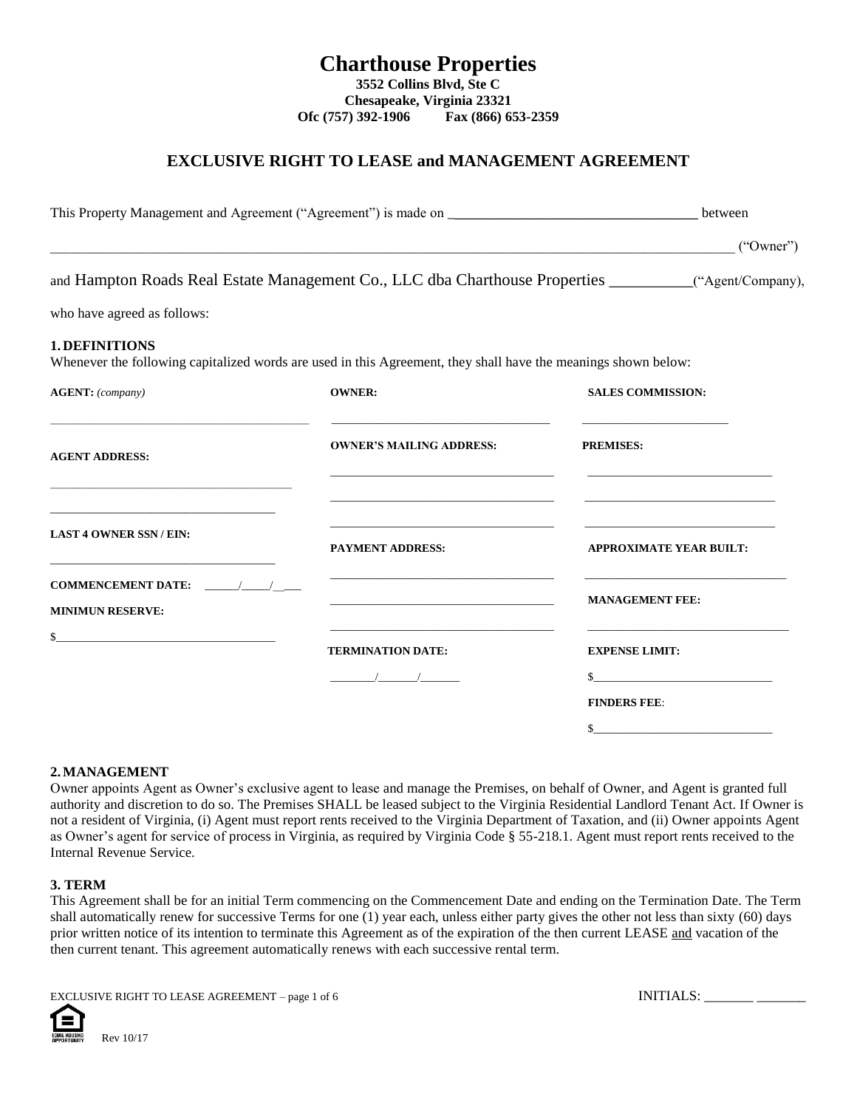# **EXCLUSIVE RIGHT TO LEASE and MANAGEMENT AGREEMENT**

|                                                                                                                                                                                          | This Property Management and Agreement ("Agreement") is made on<br><u> 1989 - Jan James James James James James James James James James James James James James James James James</u><br>and Hampton Roads Real Estate Management Co., LLC dba Charthouse Properties __________("Agent/Company),                                                    |                                                                                                                                                                                                                                                                                                                                                                     |
|------------------------------------------------------------------------------------------------------------------------------------------------------------------------------------------|-----------------------------------------------------------------------------------------------------------------------------------------------------------------------------------------------------------------------------------------------------------------------------------------------------------------------------------------------------|---------------------------------------------------------------------------------------------------------------------------------------------------------------------------------------------------------------------------------------------------------------------------------------------------------------------------------------------------------------------|
|                                                                                                                                                                                          |                                                                                                                                                                                                                                                                                                                                                     | ("Owner")                                                                                                                                                                                                                                                                                                                                                           |
|                                                                                                                                                                                          |                                                                                                                                                                                                                                                                                                                                                     |                                                                                                                                                                                                                                                                                                                                                                     |
| who have agreed as follows:                                                                                                                                                              |                                                                                                                                                                                                                                                                                                                                                     |                                                                                                                                                                                                                                                                                                                                                                     |
| <b>1. DEFINITIONS</b>                                                                                                                                                                    | Whenever the following capitalized words are used in this Agreement, they shall have the meanings shown below:                                                                                                                                                                                                                                      |                                                                                                                                                                                                                                                                                                                                                                     |
| <b>AGENT:</b> (company)                                                                                                                                                                  | <b>OWNER:</b>                                                                                                                                                                                                                                                                                                                                       | <b>SALES COMMISSION:</b>                                                                                                                                                                                                                                                                                                                                            |
| the control of the control of the control of the control of the control of the control of<br><b>AGENT ADDRESS:</b><br><u> 1949 - Johann John Barn, mars an t-Amerikaansk politiker (</u> | <b>OWNER'S MAILING ADDRESS:</b>                                                                                                                                                                                                                                                                                                                     | <b>PREMISES:</b>                                                                                                                                                                                                                                                                                                                                                    |
| the control of the control of the control of the control of the control of the control of<br><b>LAST 4 OWNER SSN / EIN:</b>                                                              | <u> 1989 - Johann John Harry, mars and deutscher Amerikaanse kommen († 1908)</u><br><u> 1989 - Johann Harry Harry Harry Harry Harry Harry Harry Harry Harry Harry Harry Harry Harry Harry Harry Harry Harry Harry Harry Harry Harry Harry Harry Harry Harry Harry Harry Harry Harry Harry Harry Harry Harry Harry Ha</u><br><b>PAYMENT ADDRESS:</b> | the control of the control of the control of the control of the control of the control of<br><b>APPROXIMATE YEAR BUILT:</b>                                                                                                                                                                                                                                         |
| <b>COMMENCEMENT DATE:</b><br><b>MINIMUN RESERVE:</b>                                                                                                                                     | <u> 1989 - Johann John Stone, markin film yn y brenin y brenin y brenin y brenin y brenin y brenin y brenin y br</u><br>the control of the control of the control of the control of the control of the control of                                                                                                                                   | <b>MANAGEMENT FEE:</b>                                                                                                                                                                                                                                                                                                                                              |
| $\frac{1}{2}$                                                                                                                                                                            | <u> 1989 - Johann Harry Harry Harry Harry Harry Harry Harry Harry Harry Harry Harry Harry Harry Harry Harry Harry Harry Harry Harry Harry Harry Harry Harry Harry Harry Harry Harry Harry Harry Harry Harry Harry Harry Harry Ha</u><br><b>TERMINATION DATE:</b>                                                                                    | <b>EXPENSE LIMIT:</b>                                                                                                                                                                                                                                                                                                                                               |
|                                                                                                                                                                                          | $\frac{1}{2}$ $\frac{1}{2}$ $\frac{1}{2}$ $\frac{1}{2}$ $\frac{1}{2}$ $\frac{1}{2}$ $\frac{1}{2}$ $\frac{1}{2}$ $\frac{1}{2}$ $\frac{1}{2}$ $\frac{1}{2}$ $\frac{1}{2}$ $\frac{1}{2}$ $\frac{1}{2}$ $\frac{1}{2}$ $\frac{1}{2}$ $\frac{1}{2}$ $\frac{1}{2}$ $\frac{1}{2}$ $\frac{1}{2}$ $\frac{1}{2}$ $\frac{1}{2}$                                 | $\begin{picture}(20,10) \put(0,0){\vector(1,0){100}} \put(15,0){\vector(1,0){100}} \put(15,0){\vector(1,0){100}} \put(15,0){\vector(1,0){100}} \put(15,0){\vector(1,0){100}} \put(15,0){\vector(1,0){100}} \put(15,0){\vector(1,0){100}} \put(15,0){\vector(1,0){100}} \put(15,0){\vector(1,0){100}} \put(15,0){\vector(1,0){100}} \put(15,0){\vector(1,0){100}} \$ |
|                                                                                                                                                                                          |                                                                                                                                                                                                                                                                                                                                                     | <b>FINDERS FEE:</b><br>$\sim$                                                                                                                                                                                                                                                                                                                                       |

## **2.MANAGEMENT**

Owner appoints Agent as Owner's exclusive agent to lease and manage the Premises, on behalf of Owner, and Agent is granted full authority and discretion to do so. The Premises SHALL be leased subject to the Virginia Residential Landlord Tenant Act. If Owner is not a resident of Virginia, (i) Agent must report rents received to the Virginia Department of Taxation, and (ii) Owner appoints Agent as Owner's agent for service of process in Virginia, as required by Virginia Code § 55-218.1. Agent must report rents received to the Internal Revenue Service.

## **3. TERM**

This Agreement shall be for an initial Term commencing on the Commencement Date and ending on the Termination Date. The Term shall automatically renew for successive Terms for one (1) year each, unless either party gives the other not less than sixty (60) days prior written notice of its intention to terminate this Agreement as of the expiration of the then current LEASE and vacation of the then current tenant. This agreement automatically renews with each successive rental term.

EXCLUSIVE RIGHT TO LEASE AGREEMENT – page 1 of 6 INITIALS: \_\_\_\_\_\_\_\_ \_\_\_\_\_\_\_\_\_\_\_\_



Rev 10/17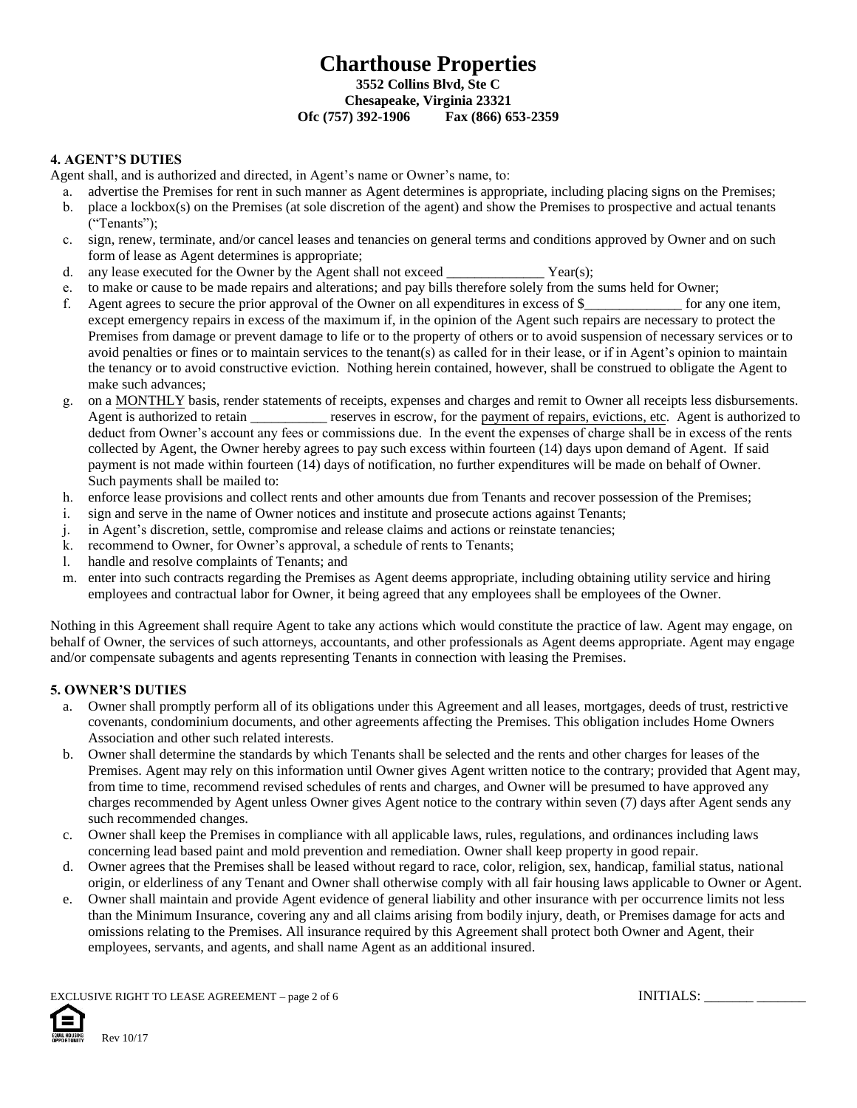## **4. AGENT'S DUTIES**

Agent shall, and is authorized and directed, in Agent's name or Owner's name, to:

- a. advertise the Premises for rent in such manner as Agent determines is appropriate, including placing signs on the Premises;
- b. place a lockbox(s) on the Premises (at sole discretion of the agent) and show the Premises to prospective and actual tenants ("Tenants");
- c. sign, renew, terminate, and/or cancel leases and tenancies on general terms and conditions approved by Owner and on such form of lease as Agent determines is appropriate;
- d. any lease executed for the Owner by the Agent shall not exceed  $Year(s)$ ;
- e. to make or cause to be made repairs and alterations; and pay bills therefore solely from the sums held for Owner;
- f. Agent agrees to secure the prior approval of the Owner on all expenditures in excess of \$\_\_\_\_\_\_\_\_\_\_\_\_\_\_ for any one item, except emergency repairs in excess of the maximum if, in the opinion of the Agent such repairs are necessary to protect the Premises from damage or prevent damage to life or to the property of others or to avoid suspension of necessary services or to avoid penalties or fines or to maintain services to the tenant(s) as called for in their lease, or if in Agent's opinion to maintain the tenancy or to avoid constructive eviction. Nothing herein contained, however, shall be construed to obligate the Agent to make such advances;
- g. on a MONTHLY basis, render statements of receipts, expenses and charges and remit to Owner all receipts less disbursements. Agent is authorized to retain \_\_\_\_\_\_\_\_\_\_\_ reserves in escrow, for the payment of repairs, evictions, etc. Agent is authorized to deduct from Owner's account any fees or commissions due. In the event the expenses of charge shall be in excess of the rents collected by Agent, the Owner hereby agrees to pay such excess within fourteen (14) days upon demand of Agent. If said payment is not made within fourteen (14) days of notification, no further expenditures will be made on behalf of Owner. Such payments shall be mailed to:
- h. enforce lease provisions and collect rents and other amounts due from Tenants and recover possession of the Premises;
- i. sign and serve in the name of Owner notices and institute and prosecute actions against Tenants;
- j. in Agent's discretion, settle, compromise and release claims and actions or reinstate tenancies;
- k. recommend to Owner, for Owner's approval, a schedule of rents to Tenants;
- l. handle and resolve complaints of Tenants; and
- m. enter into such contracts regarding the Premises as Agent deems appropriate, including obtaining utility service and hiring employees and contractual labor for Owner, it being agreed that any employees shall be employees of the Owner.

Nothing in this Agreement shall require Agent to take any actions which would constitute the practice of law. Agent may engage, on behalf of Owner, the services of such attorneys, accountants, and other professionals as Agent deems appropriate. Agent may engage and/or compensate subagents and agents representing Tenants in connection with leasing the Premises.

# **5. OWNER'S DUTIES**

- a. Owner shall promptly perform all of its obligations under this Agreement and all leases, mortgages, deeds of trust, restrictive covenants, condominium documents, and other agreements affecting the Premises. This obligation includes Home Owners Association and other such related interests.
- b. Owner shall determine the standards by which Tenants shall be selected and the rents and other charges for leases of the Premises. Agent may rely on this information until Owner gives Agent written notice to the contrary; provided that Agent may, from time to time, recommend revised schedules of rents and charges, and Owner will be presumed to have approved any charges recommended by Agent unless Owner gives Agent notice to the contrary within seven (7) days after Agent sends any such recommended changes.
- c. Owner shall keep the Premises in compliance with all applicable laws, rules, regulations, and ordinances including laws concerning lead based paint and mold prevention and remediation. Owner shall keep property in good repair.
- d. Owner agrees that the Premises shall be leased without regard to race, color, religion, sex, handicap, familial status, national origin, or elderliness of any Tenant and Owner shall otherwise comply with all fair housing laws applicable to Owner or Agent.
- e. Owner shall maintain and provide Agent evidence of general liability and other insurance with per occurrence limits not less than the Minimum Insurance, covering any and all claims arising from bodily injury, death, or Premises damage for acts and omissions relating to the Premises. All insurance required by this Agreement shall protect both Owner and Agent, their employees, servants, and agents, and shall name Agent as an additional insured.

EXCLUSIVE RIGHT TO LEASE AGREEMENT – page 2 of 6 INITIALS: \_\_\_\_\_\_\_\_ \_\_\_\_\_\_\_\_\_\_\_\_

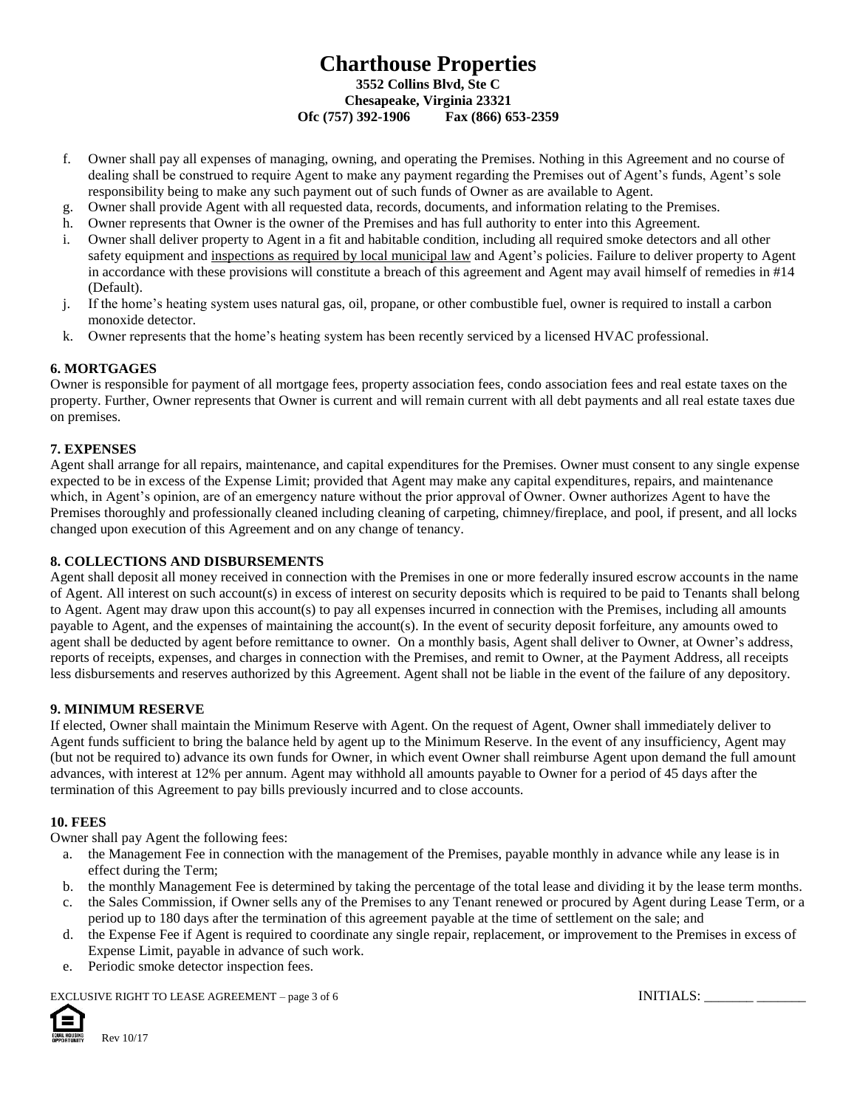- f. Owner shall pay all expenses of managing, owning, and operating the Premises. Nothing in this Agreement and no course of dealing shall be construed to require Agent to make any payment regarding the Premises out of Agent's funds, Agent's sole responsibility being to make any such payment out of such funds of Owner as are available to Agent.
- g. Owner shall provide Agent with all requested data, records, documents, and information relating to the Premises.
- h. Owner represents that Owner is the owner of the Premises and has full authority to enter into this Agreement.
- i. Owner shall deliver property to Agent in a fit and habitable condition, including all required smoke detectors and all other safety equipment and inspections as required by local municipal law and Agent's policies. Failure to deliver property to Agent in accordance with these provisions will constitute a breach of this agreement and Agent may avail himself of remedies in #14 (Default).
- j. If the home's heating system uses natural gas, oil, propane, or other combustible fuel, owner is required to install a carbon monoxide detector.
- k. Owner represents that the home's heating system has been recently serviced by a licensed HVAC professional.

#### **6. MORTGAGES**

Owner is responsible for payment of all mortgage fees, property association fees, condo association fees and real estate taxes on the property. Further, Owner represents that Owner is current and will remain current with all debt payments and all real estate taxes due on premises.

#### **7. EXPENSES**

Agent shall arrange for all repairs, maintenance, and capital expenditures for the Premises. Owner must consent to any single expense expected to be in excess of the Expense Limit; provided that Agent may make any capital expenditures, repairs, and maintenance which, in Agent's opinion, are of an emergency nature without the prior approval of Owner. Owner authorizes Agent to have the Premises thoroughly and professionally cleaned including cleaning of carpeting, chimney/fireplace, and pool, if present, and all locks changed upon execution of this Agreement and on any change of tenancy.

### **8. COLLECTIONS AND DISBURSEMENTS**

Agent shall deposit all money received in connection with the Premises in one or more federally insured escrow accounts in the name of Agent. All interest on such account(s) in excess of interest on security deposits which is required to be paid to Tenants shall belong to Agent. Agent may draw upon this account(s) to pay all expenses incurred in connection with the Premises, including all amounts payable to Agent, and the expenses of maintaining the account(s). In the event of security deposit forfeiture, any amounts owed to agent shall be deducted by agent before remittance to owner. On a monthly basis, Agent shall deliver to Owner, at Owner's address, reports of receipts, expenses, and charges in connection with the Premises, and remit to Owner, at the Payment Address, all receipts less disbursements and reserves authorized by this Agreement. Agent shall not be liable in the event of the failure of any depository.

#### **9. MINIMUM RESERVE**

If elected, Owner shall maintain the Minimum Reserve with Agent. On the request of Agent, Owner shall immediately deliver to Agent funds sufficient to bring the balance held by agent up to the Minimum Reserve. In the event of any insufficiency, Agent may (but not be required to) advance its own funds for Owner, in which event Owner shall reimburse Agent upon demand the full amount advances, with interest at 12% per annum. Agent may withhold all amounts payable to Owner for a period of 45 days after the termination of this Agreement to pay bills previously incurred and to close accounts.

#### **10. FEES**

Owner shall pay Agent the following fees:

- a. the Management Fee in connection with the management of the Premises, payable monthly in advance while any lease is in effect during the Term;
- b. the monthly Management Fee is determined by taking the percentage of the total lease and dividing it by the lease term months.
- c. the Sales Commission, if Owner sells any of the Premises to any Tenant renewed or procured by Agent during Lease Term, or a period up to 180 days after the termination of this agreement payable at the time of settlement on the sale; and
- d. the Expense Fee if Agent is required to coordinate any single repair, replacement, or improvement to the Premises in excess of Expense Limit, payable in advance of such work.
- e. Periodic smoke detector inspection fees.

EXCLUSIVE RIGHT TO LEASE AGREEMENT – page 3 of 6 INITIALS: \_\_\_\_\_\_\_\_\_\_\_\_\_\_\_\_\_\_\_\_\_\_

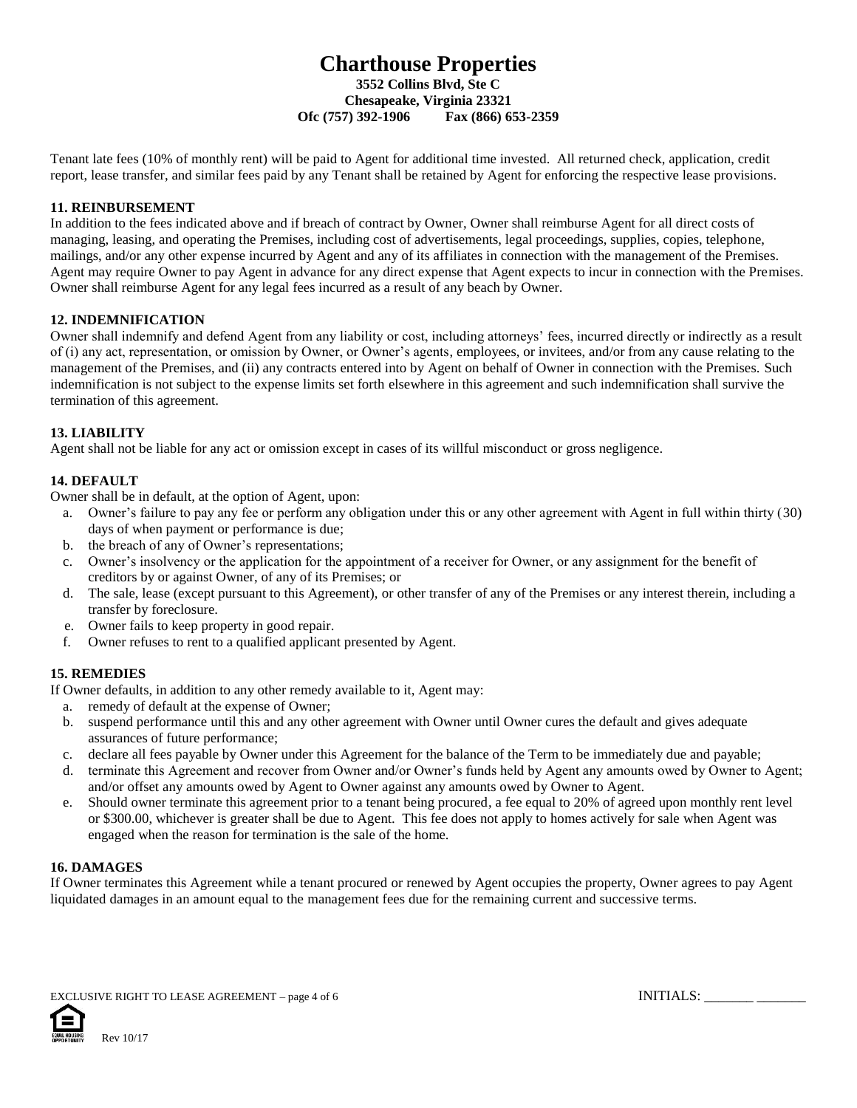Tenant late fees (10% of monthly rent) will be paid to Agent for additional time invested. All returned check, application, credit report, lease transfer, and similar fees paid by any Tenant shall be retained by Agent for enforcing the respective lease provisions.

## **11. REINBURSEMENT**

In addition to the fees indicated above and if breach of contract by Owner, Owner shall reimburse Agent for all direct costs of managing, leasing, and operating the Premises, including cost of advertisements, legal proceedings, supplies, copies, telephone, mailings, and/or any other expense incurred by Agent and any of its affiliates in connection with the management of the Premises. Agent may require Owner to pay Agent in advance for any direct expense that Agent expects to incur in connection with the Premises. Owner shall reimburse Agent for any legal fees incurred as a result of any beach by Owner.

## **12. INDEMNIFICATION**

Owner shall indemnify and defend Agent from any liability or cost, including attorneys' fees, incurred directly or indirectly as a result of (i) any act, representation, or omission by Owner, or Owner's agents, employees, or invitees, and/or from any cause relating to the management of the Premises, and (ii) any contracts entered into by Agent on behalf of Owner in connection with the Premises. Such indemnification is not subject to the expense limits set forth elsewhere in this agreement and such indemnification shall survive the termination of this agreement.

# **13. LIABILITY**

Agent shall not be liable for any act or omission except in cases of its willful misconduct or gross negligence.

# **14. DEFAULT**

Owner shall be in default, at the option of Agent, upon:

- a. Owner's failure to pay any fee or perform any obligation under this or any other agreement with Agent in full within thirty (30) days of when payment or performance is due;
- b. the breach of any of Owner's representations;
- c. Owner's insolvency or the application for the appointment of a receiver for Owner, or any assignment for the benefit of creditors by or against Owner, of any of its Premises; or
- d. The sale, lease (except pursuant to this Agreement), or other transfer of any of the Premises or any interest therein, including a transfer by foreclosure.
- e. Owner fails to keep property in good repair.
- f. Owner refuses to rent to a qualified applicant presented by Agent.

## **15. REMEDIES**

If Owner defaults, in addition to any other remedy available to it, Agent may:

- a. remedy of default at the expense of Owner;
- b. suspend performance until this and any other agreement with Owner until Owner cures the default and gives adequate assurances of future performance;
- c. declare all fees payable by Owner under this Agreement for the balance of the Term to be immediately due and payable;
- d. terminate this Agreement and recover from Owner and/or Owner's funds held by Agent any amounts owed by Owner to Agent; and/or offset any amounts owed by Agent to Owner against any amounts owed by Owner to Agent.
- e. Should owner terminate this agreement prior to a tenant being procured, a fee equal to 20% of agreed upon monthly rent level or \$300.00, whichever is greater shall be due to Agent. This fee does not apply to homes actively for sale when Agent was engaged when the reason for termination is the sale of the home.

## **16. DAMAGES**

If Owner terminates this Agreement while a tenant procured or renewed by Agent occupies the property, Owner agrees to pay Agent liquidated damages in an amount equal to the management fees due for the remaining current and successive terms.

EXCLUSIVE RIGHT TO LEASE AGREEMENT – page 4 of 6  $\blacksquare$ 

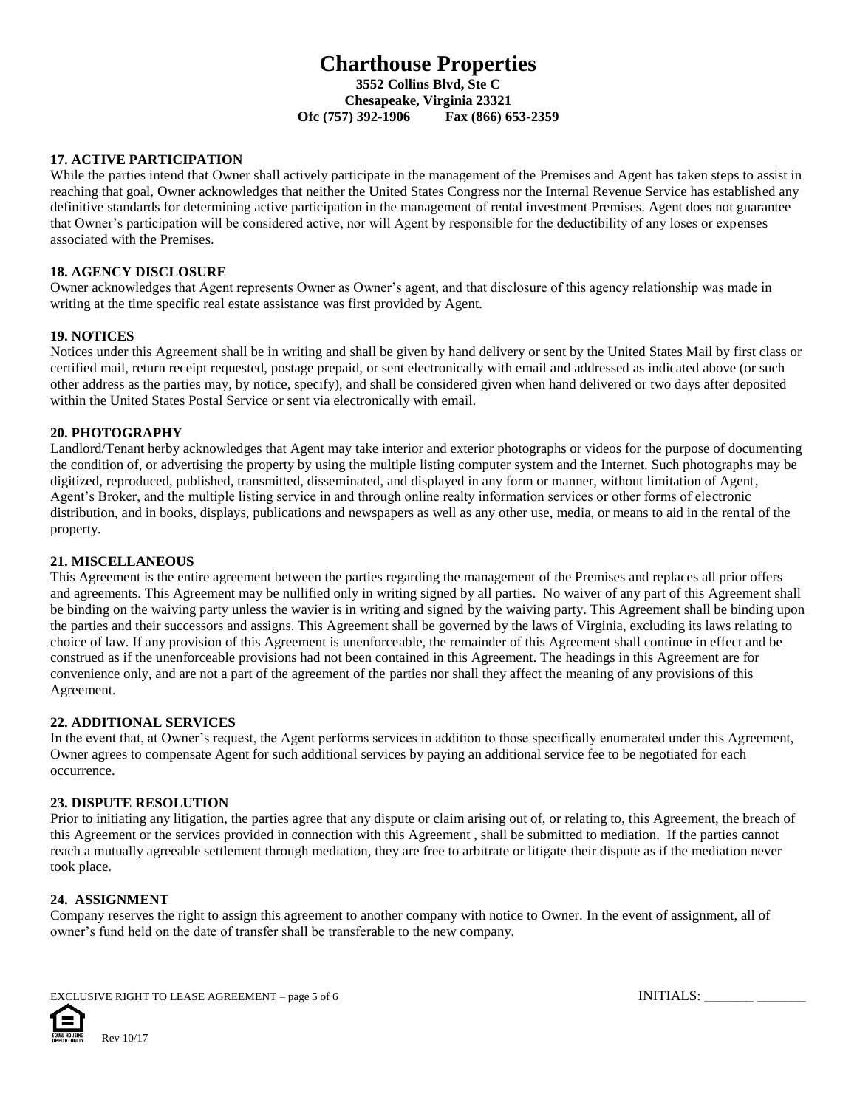### **17. ACTIVE PARTICIPATION**

While the parties intend that Owner shall actively participate in the management of the Premises and Agent has taken steps to assist in reaching that goal, Owner acknowledges that neither the United States Congress nor the Internal Revenue Service has established any definitive standards for determining active participation in the management of rental investment Premises. Agent does not guarantee that Owner's participation will be considered active, nor will Agent by responsible for the deductibility of any loses or expenses associated with the Premises.

#### **18. AGENCY DISCLOSURE**

Owner acknowledges that Agent represents Owner as Owner's agent, and that disclosure of this agency relationship was made in writing at the time specific real estate assistance was first provided by Agent.

#### **19. NOTICES**

Notices under this Agreement shall be in writing and shall be given by hand delivery or sent by the United States Mail by first class or certified mail, return receipt requested, postage prepaid, or sent electronically with email and addressed as indicated above (or such other address as the parties may, by notice, specify), and shall be considered given when hand delivered or two days after deposited within the United States Postal Service or sent via electronically with email.

#### **20. PHOTOGRAPHY**

Landlord/Tenant herby acknowledges that Agent may take interior and exterior photographs or videos for the purpose of documenting the condition of, or advertising the property by using the multiple listing computer system and the Internet. Such photographs may be digitized, reproduced, published, transmitted, disseminated, and displayed in any form or manner, without limitation of Agent, Agent's Broker, and the multiple listing service in and through online realty information services or other forms of electronic distribution, and in books, displays, publications and newspapers as well as any other use, media, or means to aid in the rental of the property.

#### **21. MISCELLANEOUS**

This Agreement is the entire agreement between the parties regarding the management of the Premises and replaces all prior offers and agreements. This Agreement may be nullified only in writing signed by all parties. No waiver of any part of this Agreement shall be binding on the waiving party unless the wavier is in writing and signed by the waiving party. This Agreement shall be binding upon the parties and their successors and assigns. This Agreement shall be governed by the laws of Virginia, excluding its laws relating to choice of law. If any provision of this Agreement is unenforceable, the remainder of this Agreement shall continue in effect and be construed as if the unenforceable provisions had not been contained in this Agreement. The headings in this Agreement are for convenience only, and are not a part of the agreement of the parties nor shall they affect the meaning of any provisions of this Agreement.

### **22. ADDITIONAL SERVICES**

In the event that, at Owner's request, the Agent performs services in addition to those specifically enumerated under this Agreement, Owner agrees to compensate Agent for such additional services by paying an additional service fee to be negotiated for each occurrence.

#### **23. DISPUTE RESOLUTION**

Prior to initiating any litigation, the parties agree that any dispute or claim arising out of, or relating to, this Agreement, the breach of this Agreement or the services provided in connection with this Agreement , shall be submitted to mediation. If the parties cannot reach a mutually agreeable settlement through mediation, they are free to arbitrate or litigate their dispute as if the mediation never took place.

#### **24. ASSIGNMENT**

Company reserves the right to assign this agreement to another company with notice to Owner. In the event of assignment, all of owner's fund held on the date of transfer shall be transferable to the new company.



EXCLUSIVE RIGHT TO LEASE AGREEMENT – page 5 of 6 INITIALS: \_\_\_\_\_\_\_\_\_ \_\_\_\_\_\_\_\_\_\_\_